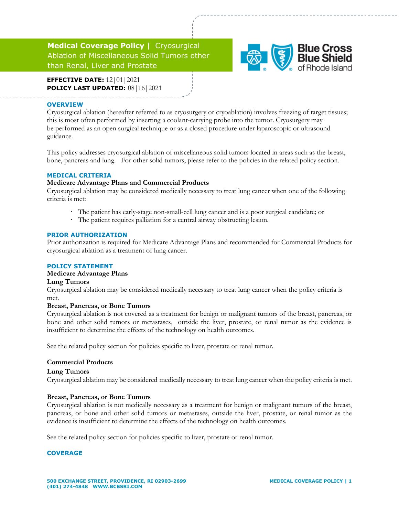# **Medical Coverage Policy |** Cryosurgical Ablation of Miscellaneous Solid Tumors other than Renal, Liver and Prostate



**EFFECTIVE DATE:** 12|01|2021 **POLICY LAST UPDATED:** 08|16|2021

#### **OVERVIEW**

Cryosurgical ablation (hereafter referred to as cryosurgery or cryoablation) involves freezing of target tissues; this is most often performed by inserting a coolant-carrying probe into the tumor. Cryosurgery may be performed as an open surgical technique or as a closed procedure under laparoscopic or ultrasound guidance.

This policy addresses cryosurgical ablation of miscellaneous solid tumors located in areas such as the breast, bone, pancreas and lung. For other solid tumors, please refer to the policies in the related policy section.

#### **MEDICAL CRITERIA**

## **Medicare Advantage Plans and Commercial Products**

Cryosurgical ablation may be considered medically necessary to treat lung cancer when one of the following criteria is met:

- · The patient has early-stage non-small-cell lung cancer and is a poor surgical candidate; or
- · The patient requires palliation for a central airway obstructing lesion.

#### **PRIOR AUTHORIZATION**

Prior authorization is required for Medicare Advantage Plans and recommended for Commercial Products for cryosurgical ablation as a treatment of lung cancer.

## **POLICY STATEMENT**

## **Medicare Advantage Plans**

#### **Lung Tumors**

Cryosurgical ablation may be considered medically necessary to treat lung cancer when the policy criteria is met.

#### **Breast, Pancreas, or Bone Tumors**

Cryosurgical ablation is not covered as a treatment for benign or malignant tumors of the breast, pancreas, or bone and other solid tumors or metastases, outside the liver, prostate, or renal tumor as the evidence is insufficient to determine the effects of the technology on health outcomes.

See the related policy section for policies specific to liver, prostate or renal tumor.

## **Commercial Products**

#### **Lung Tumors**

Cryosurgical ablation may be considered medically necessary to treat lung cancer when the policy criteria is met.

#### **Breast, Pancreas, or Bone Tumors**

Cryosurgical ablation is not medically necessary as a treatment for benign or malignant tumors of the breast, pancreas, or bone and other solid tumors or metastases, outside the liver, prostate, or renal tumor as the evidence is insufficient to determine the effects of the technology on health outcomes.

See the related policy section for policies specific to liver, prostate or renal tumor.

#### **COVERAGE**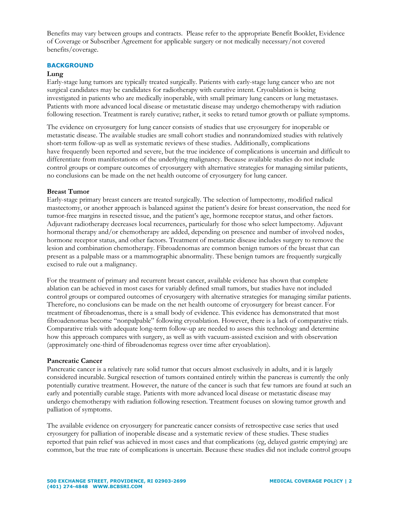Benefits may vary between groups and contracts. Please refer to the appropriate Benefit Booklet, Evidence of Coverage or Subscriber Agreement for applicable surgery or not medically necessary/not covered benefits/coverage.

#### **BACKGROUND**

#### **Lung**

Early-stage lung tumors are typically treated surgically. Patients with early-stage lung cancer who are not surgical candidates may be candidates for radiotherapy with curative intent. Cryoablation is being investigated in patients who are medically inoperable, with small primary lung cancers or lung metastases. Patients with more advanced local disease or metastatic disease may undergo chemotherapy with radiation following resection. Treatment is rarely curative; rather, it seeks to retard tumor growth or palliate symptoms.

The evidence on cryosurgery for lung cancer consists of studies that use cryosurgery for inoperable or metastatic disease. The available studies are small cohort studies and nonrandomized studies with relatively short-term follow-up as well as systematic reviews of these studies. Additionally, complications have frequently been reported and severe, but the true incidence of complications is uncertain and difficult to differentiate from manifestations of the underlying malignancy. Because available studies do not include control groups or compare outcomes of cryosurgery with alternative strategies for managing similar patients, no conclusions can be made on the net health outcome of cryosurgery for lung cancer.

#### **Breast Tumor**

Early-stage primary breast cancers are treated surgically. The selection of lumpectomy, modified radical mastectomy, or another approach is balanced against the patient's desire for breast conservation, the need for tumor-free margins in resected tissue, and the patient's age, hormone receptor status, and other factors. Adjuvant radiotherapy decreases local recurrences, particularly for those who select lumpectomy. Adjuvant hormonal therapy and/or chemotherapy are added, depending on presence and number of involved nodes, hormone receptor status, and other factors. Treatment of metastatic disease includes surgery to remove the lesion and combination chemotherapy. Fibroadenomas are common benign tumors of the breast that can present as a palpable mass or a mammographic abnormality. These benign tumors are frequently surgically excised to rule out a malignancy.

For the treatment of primary and recurrent breast cancer, available evidence has shown that complete ablation can be achieved in most cases for variably defined small tumors, but studies have not included control groups or compared outcomes of cryosurgery with alternative strategies for managing similar patients. Therefore, no conclusions can be made on the net health outcome of cryosurgery for breast cancer. For treatment of fibroadenomas, there is a small body of evidence. This evidence has demonstrated that most fibroadenomas become "nonpalpable" following cryoablation. However, there is a lack of comparative trials. Comparative trials with adequate long-term follow-up are needed to assess this technology and determine how this approach compares with surgery, as well as with vacuum-assisted excision and with observation (approximately one-third of fibroadenomas regress over time after cryoablation).

#### **Pancreatic Cancer**

Pancreatic cancer is a relatively rare solid tumor that occurs almost exclusively in adults, and it is largely considered incurable. Surgical resection of tumors contained entirely within the pancreas is currently the only potentially curative treatment. However, the nature of the cancer is such that few tumors are found at such an early and potentially curable stage. Patients with more advanced local disease or metastatic disease may undergo chemotherapy with radiation following resection. Treatment focuses on slowing tumor growth and palliation of symptoms.

The available evidence on cryosurgery for pancreatic cancer consists of retrospective case series that used cryosurgery for palliation of inoperable disease and a systematic review of these studies. These studies reported that pain relief was achieved in most cases and that complications (eg, delayed gastric emptying) are common, but the true rate of complications is uncertain. Because these studies did not include control groups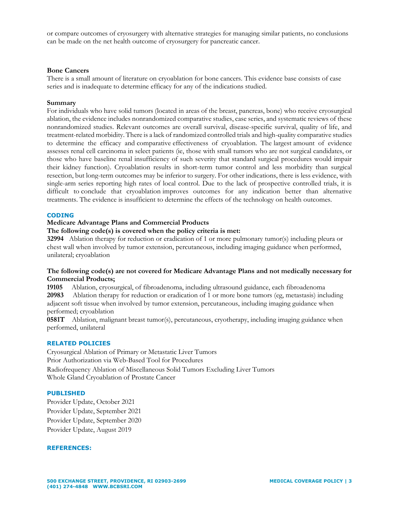or compare outcomes of cryosurgery with alternative strategies for managing similar patients, no conclusions can be made on the net health outcome of cryosurgery for pancreatic cancer.

#### **Bone Cancers**

There is a small amount of literature on cryoablation for bone cancers. This evidence base consists of case series and is inadequate to determine efficacy for any of the indications studied.

#### **Summary**

For individuals who have solid tumors (located in areas of the breast, pancreas, bone) who receive cryosurgical ablation, the evidence includes nonrandomized comparative studies, case series, and systematic reviews of these nonrandomized studies. Relevant outcomes are overall survival, disease-specific survival, quality of life, and treatment-related morbidity. There is a lack of randomized controlled trials and high-quality comparative studies to determine the efficacy and comparative effectiveness of cryoablation. The largest amount of evidence assesses renal cell carcinoma in select patients (ie, those with small tumors who are not surgical candidates, or those who have baseline renal insufficiency of such severity that standard surgical procedures would impair their kidney function). Cryoablation results in short-term tumor control and less morbidity than surgical resection, but long-term outcomes may be inferior to surgery. For other indications, there is less evidence, with single-arm series reporting high rates of local control. Due to the lack of prospective controlled trials, it is difficult to conclude that cryoablation improves outcomes for any indication better than alternative treatments. The evidence is insufficient to determine the effects of the technology on health outcomes.

#### **CODING**

## **Medicare Advantage Plans and Commercial Products**

## **The following code(s) is covered when the policy criteria is met:**

**32994** Ablation therapy for reduction or eradication of 1 or more pulmonary tumor(s) including pleura or chest wall when involved by tumor extension, percutaneous, including imaging guidance when performed, unilateral; cryoablation

## **The following code(s) are not covered for Medicare Advantage Plans and not medically necessary for Commercial Products;**

**19105** Ablation, cryosurgical, of fibroadenoma, including ultrasound guidance, each fibroadenoma **20983** Ablation therapy for reduction or eradication of 1 or more bone tumors (eg, metastasis) including adjacent soft tissue when involved by tumor extension, percutaneous, including imaging guidance when performed; cryoablation

**0581T** Ablation, malignant breast tumor(s), percutaneous, cryotherapy, including imaging guidance when performed, unilateral

#### **RELATED POLICIES**

Cryosurgical Ablation of Primary or Metastatic Liver Tumors Prior Authorization via Web-Based Tool for Procedures Radiofrequency Ablation of Miscellaneous Solid Tumors Excluding Liver Tumors Whole Gland Cryoablation of Prostate Cancer

#### **PUBLISHED**

Provider Update, October 2021 Provider Update, September 2021 Provider Update, September 2020 Provider Update, August 2019

#### **REFERENCES:**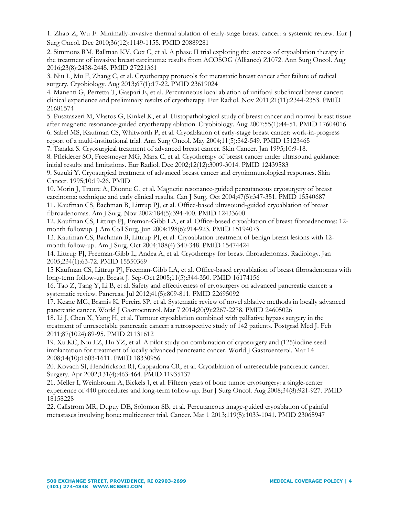1. Zhao Z, Wu F. Minimally-invasive thermal ablation of early-stage breast cancer: a systemic review. Eur J Surg Oncol. Dec 2010;36(12):1149-1155. PMID 20889281

2. Simmons RM, Ballman KV, Cox C, et al. A phase II trial exploring the success of cryoablation therapy in the treatment of invasive breast carcinoma: results from ACOSOG (Alliance) Z1072. Ann Surg Oncol. Aug 2016;23(8):2438-2445. PMID 27221361

3. Niu L, Mu F, Zhang C, et al. Cryotherapy protocols for metastatic breast cancer after failure of radical surgery. Cryobiology. Aug 2013;67(1):17-22. PMID 23619024

4. Manenti G, Perretta T, Gaspari E, et al. Percutaneous local ablation of unifocal subclinical breast cancer: clinical experience and preliminary results of cryotherapy. Eur Radiol. Nov 2011;21(11):2344-2353. PMID 21681574

5. Pusztaszeri M, Vlastos G, Kinkel K, et al. Histopathological study of breast cancer and normal breast tissue after magnetic resonance-guided cryotherapy ablation. Cryobiology. Aug 2007;55(1):44-51. PMID 17604016

6. Sabel MS, Kaufman CS, Whitworth P, et al. Cryoablation of early-stage breast cancer: work-in-progress report of a multi-institutional trial. Ann Surg Oncol. May 2004;11(5):542-549. PMID 15123465

7. Tanaka S. Cryosurgical treatment of advanced breast cancer. Skin Cancer. Jan 1995;10:9-18.

8. Pfleiderer SO, Freesmeyer MG, Marx C, et al. Cryotherapy of breast cancer under ultrasound guidance: initial results and limitations. Eur Radiol. Dec 2002;12(12):3009-3014. PMID 12439583

9. Suzuki Y. Cryosurgical treatment of advanced breast cancer and cryoimmunological responses. Skin Cancer. 1995;10:19-26. PMID

10. Morin J, Traore A, Dionne G, et al. Magnetic resonance-guided percutaneous cryosurgery of breast carcinoma: technique and early clinical results. Can J Surg. Oct 2004;47(5):347-351. PMID 15540687

11. Kaufman CS, Bachman B, Littrup PJ, et al. Office-based ultrasound-guided cryoablation of breast fibroadenomas. Am J Surg. Nov 2002;184(5):394-400. PMID 12433600

12. Kaufman CS, Littrup PJ, Freman-Gibb LA, et al. Office-based cryoablation of breast fibroadenomas: 12 month followup. J Am Coll Surg. Jun 2004;198(6):914-923. PMID 15194073

13. Kaufman CS, Bachman B, Littrup PJ, et al. Cryoablation treatment of benign breast lesions with 12 month follow-up. Am J Surg. Oct 2004;188(4):340-348. PMID 15474424

14. Littrup PJ, Freeman-Gibb L, Andea A, et al. Cryotherapy for breast fibroadenomas. Radiology. Jan 2005;234(1):63-72. PMID 15550369

15 Kaufman CS, Littrup PJ, Freeman-Gibb LA, et al. Office-based cryoablation of breast fibroadenomas with long-term follow-up. Breast J. Sep-Oct 2005;11(5):344-350. PMID 16174156

16. Tao Z, Tang Y, Li B, et al. Safety and effectiveness of cryosurgery on advanced pancreatic cancer: a systematic review. Pancreas. Jul 2012;41(5):809-811. PMID 22695092

17. Keane MG, Bramis K, Pereira SP, et al. Systematic review of novel ablative methods in locally advanced pancreatic cancer. World J Gastroenterol. Mar 7 2014;20(9):2267-2278. PMID 24605026

18. Li J, Chen X, Yang H, et al. Tumour cryoablation combined with palliative bypass surgery in the treatment of unresectable pancreatic cancer: a retrospective study of 142 patients. Postgrad Med J. Feb 2011;87(1024):89-95. PMID 21131612

19. Xu KC, Niu LZ, Hu YZ, et al. A pilot study on combination of cryosurgery and (125)iodine seed implantation for treatment of locally advanced pancreatic cancer. World J Gastroenterol. Mar 14 2008;14(10):1603-1611. PMID 18330956

20. Kovach SJ, Hendrickson RJ, Cappadona CR, et al. Cryoablation of unresectable pancreatic cancer. Surgery. Apr 2002;131(4):463-464. PMID 11935137

21. Meller I, Weinbroum A, Bickels J, et al. Fifteen years of bone tumor cryosurgery: a single-center experience of 440 procedures and long-term follow-up. Eur J Surg Oncol. Aug 2008;34(8):921-927. PMID 18158228

22. Callstrom MR, Dupuy DE, Solomon SB, et al. Percutaneous image-guided cryoablation of painful metastases involving bone: multicenter trial. Cancer. Mar 1 2013;119(5):1033-1041. PMID 23065947